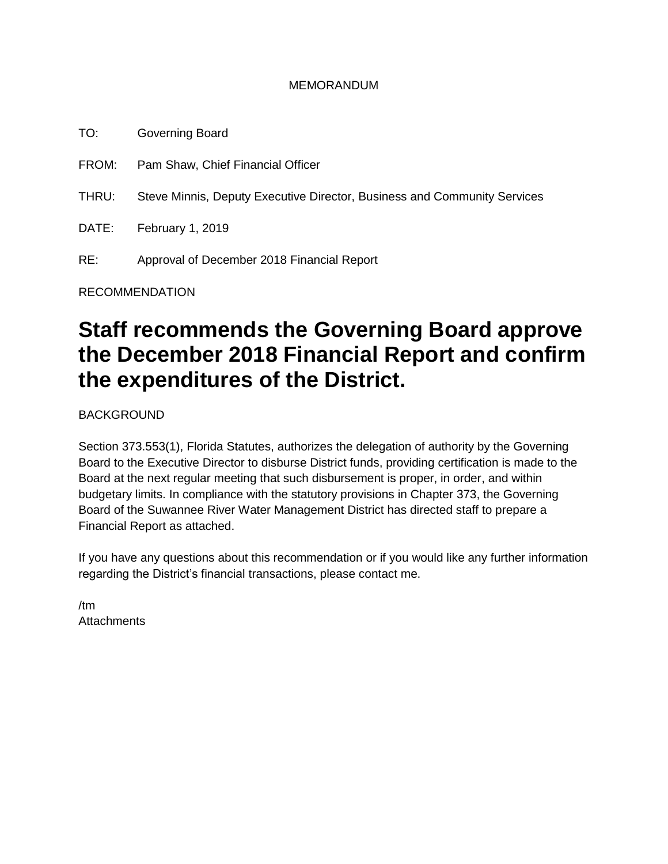#### MEMORANDUM

TO: Governing Board FROM: Pam Shaw, Chief Financial Officer THRU: Steve Minnis, Deputy Executive Director, Business and Community Services DATE: February 1, 2019 RE: Approval of December 2018 Financial Report

RECOMMENDATION

# **Staff recommends the Governing Board approve the December 2018 Financial Report and confirm the expenditures of the District.**

BACKGROUND

Section 373.553(1), Florida Statutes, authorizes the delegation of authority by the Governing Board to the Executive Director to disburse District funds, providing certification is made to the Board at the next regular meeting that such disbursement is proper, in order, and within budgetary limits. In compliance with the statutory provisions in Chapter 373, the Governing Board of the Suwannee River Water Management District has directed staff to prepare a Financial Report as attached.

If you have any questions about this recommendation or if you would like any further information regarding the District's financial transactions, please contact me.

/tm **Attachments**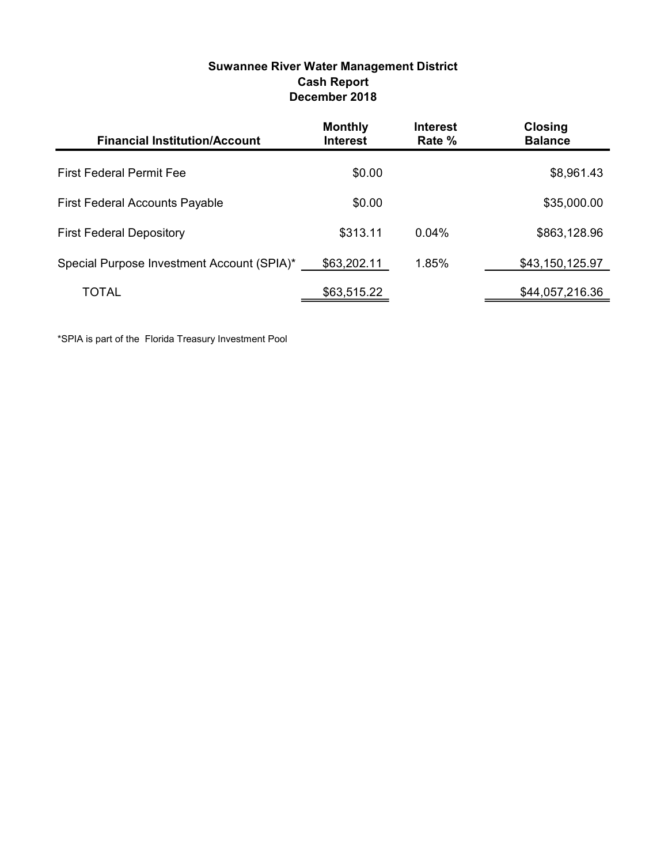| Suwannee River Water Management District |
|------------------------------------------|
| <b>Cash Report</b>                       |
| December 2018                            |

| <b>Financial Institution/Account</b>       | <b>Monthly</b><br><b>Interest</b> | <b>Interest</b><br>Rate % | <b>Closing</b><br><b>Balance</b> |
|--------------------------------------------|-----------------------------------|---------------------------|----------------------------------|
| <b>First Federal Permit Fee</b>            | \$0.00                            |                           | \$8,961.43                       |
| <b>First Federal Accounts Payable</b>      | \$0.00                            |                           | \$35,000.00                      |
| <b>First Federal Depository</b>            | \$313.11                          | $0.04\%$                  | \$863,128.96                     |
| Special Purpose Investment Account (SPIA)* | \$63,202.11                       | 1.85%                     | \$43,150,125.97                  |
| TOTAL                                      | \$63,515.22                       |                           | \$44,057,216.36                  |

\*SPIA is part of the Florida Treasury Investment Pool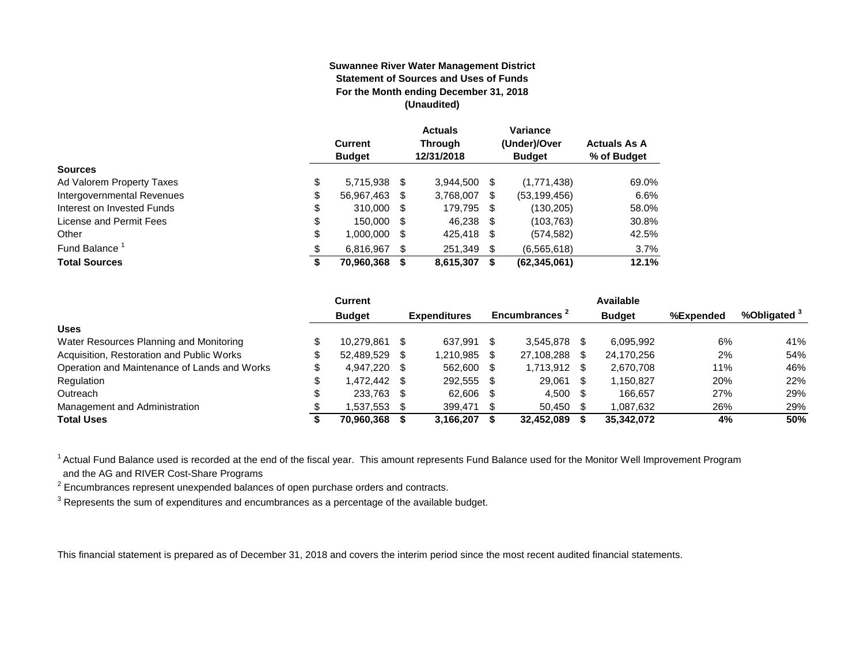#### **Suwannee River Water Management District Statement of Sources and Uses of Funds For the Month ending December 31, 2018 (Unaudited)**

|                            | <b>Current</b><br><b>Budget</b> |   | <b>Actuals</b><br><b>Through</b><br>12/31/2018 |     | Variance<br>(Under)/Over<br><b>Budget</b> | <b>Actuals As A</b><br>% of Budget |
|----------------------------|---------------------------------|---|------------------------------------------------|-----|-------------------------------------------|------------------------------------|
| <b>Sources</b>             |                                 |   |                                                |     |                                           |                                    |
| Ad Valorem Property Taxes  | \$<br>5,715,938 \$              |   | 3.944.500                                      | S   | (1,771,438)                               | 69.0%                              |
| Intergovernmental Revenues | \$<br>56,967,463 \$             |   | 3,768,007                                      | S.  | (53, 199, 456)                            | 6.6%                               |
| Interest on Invested Funds | \$<br>310,000 \$                |   | 179,795 \$                                     |     | (130, 205)                                | 58.0%                              |
| License and Permit Fees    | \$<br>150,000 \$                |   | 46,238 \$                                      |     | (103, 763)                                | 30.8%                              |
| Other                      | \$<br>1,000,000 \$              |   | 425,418 \$                                     |     | (574, 582)                                | 42.5%                              |
| Fund Balance <sup>1</sup>  | \$<br>6,816,967                 | S | 251,349                                        | \$. | (6, 565, 618)                             | 3.7%                               |
| <b>Total Sources</b>       | 70,960,368                      |   | 8,615,307                                      | S   | (62, 345, 061)                            | 12.1%                              |

|                                              | Current       |      |                     |      |                           |      | Available     |           |              |
|----------------------------------------------|---------------|------|---------------------|------|---------------------------|------|---------------|-----------|--------------|
|                                              | <b>Budget</b> |      | <b>Expenditures</b> |      | Encumbrances <sup>2</sup> |      | <b>Budget</b> | %Expended | %Obligated ° |
| <b>Uses</b>                                  |               |      |                     |      |                           |      |               |           |              |
| Water Resources Planning and Monitoring      | 10.279.861    |      | 637.991             | \$.  | 3.545.878                 |      | 6.095.992     | 6%        | 41%          |
| Acquisition, Restoration and Public Works    | 52.489.529    | - \$ | 1,210,985           |      | 27,108,288                | S    | 24,170,256    | 2%        | 54%          |
| Operation and Maintenance of Lands and Works | 4.947.220 \$  |      | 562.600             | \$.  | 1,713,912                 | - \$ | 2.670.708     | 11%       | 46%          |
| Regulation                                   | .472.442 \$   |      | 292,555             | -S   | 29.061                    | \$.  | 1,150,827     | 20%       | 22%          |
| Outreach                                     | 233.763 \$    |      | 62.606              |      | 4,500                     | - \$ | 166.657       | 27%       | 29%          |
| Management and Administration                | .537,553      |      | 399,471             | - \$ | 50,450                    |      | 1,087,632     | 26%       | 29%          |
| <b>Total Uses</b>                            | 70,960,368    |      | 3,166,207           |      | 32,452,089                |      | 35,342,072    | 4%        | 50%          |

<sup>1</sup> Actual Fund Balance used is recorded at the end of the fiscal year. This amount represents Fund Balance used for the Monitor Well Improvement Program and the AG and RIVER Cost-Share Programs

 $2$  Encumbrances represent unexpended balances of open purchase orders and contracts.

 $3$  Represents the sum of expenditures and encumbrances as a percentage of the available budget.

This financial statement is prepared as of December 31, 2018 and covers the interim period since the most recent audited financial statements.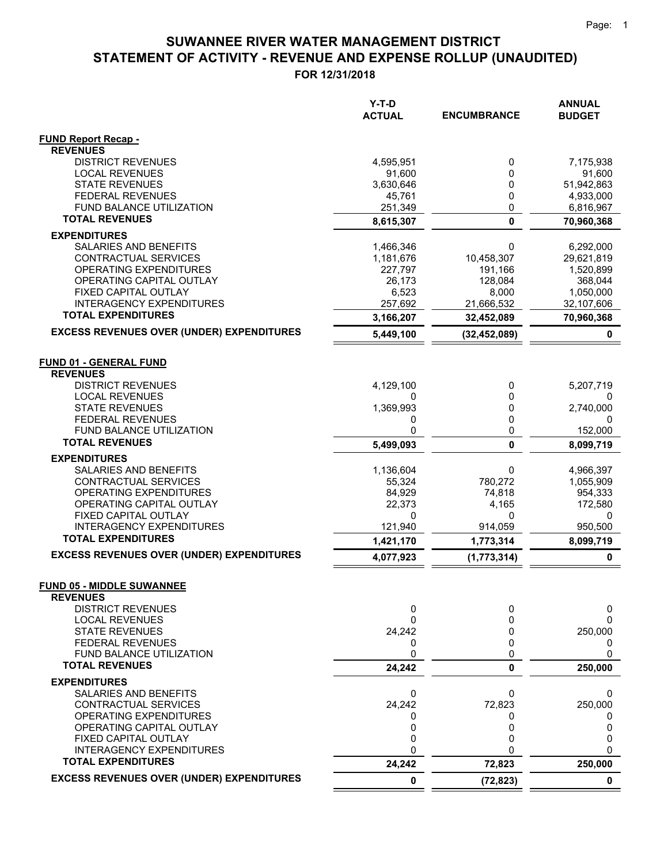**FOR 12/31/2018**

|                                                         | $Y-T-D$<br><b>ACTUAL</b> | <b>ENCUMBRANCE</b> | <b>ANNUAL</b><br><b>BUDGET</b> |
|---------------------------------------------------------|--------------------------|--------------------|--------------------------------|
| <b>FUND Report Recap -</b>                              |                          |                    |                                |
| <b>REVENUES</b>                                         |                          |                    |                                |
| <b>DISTRICT REVENUES</b>                                | 4,595,951                | 0                  | 7,175,938                      |
| <b>LOCAL REVENUES</b>                                   | 91,600                   | 0                  | 91,600                         |
| <b>STATE REVENUES</b>                                   | 3,630,646                | 0                  | 51,942,863                     |
| <b>FEDERAL REVENUES</b><br>FUND BALANCE UTILIZATION     | 45,761<br>251,349        | 0<br>0             | 4,933,000<br>6,816,967         |
| <b>TOTAL REVENUES</b>                                   | 8,615,307                | $\mathbf 0$        | 70,960,368                     |
| <b>EXPENDITURES</b>                                     |                          |                    |                                |
| SALARIES AND BENEFITS                                   | 1,466,346                | 0                  | 6,292,000                      |
| CONTRACTUAL SERVICES                                    | 1,181,676                | 10,458,307         | 29,621,819                     |
| OPERATING EXPENDITURES                                  | 227,797                  | 191,166            | 1,520,899                      |
| OPERATING CAPITAL OUTLAY                                | 26,173                   | 128,084            | 368,044                        |
| FIXED CAPITAL OUTLAY                                    | 6,523                    | 8,000              | 1,050,000                      |
| <b>INTERAGENCY EXPENDITURES</b>                         | 257,692                  | 21,666,532         | 32,107,606                     |
| <b>TOTAL EXPENDITURES</b>                               | 3,166,207                | 32,452,089         | 70,960,368                     |
| <b>EXCESS REVENUES OVER (UNDER) EXPENDITURES</b>        | 5,449,100                | (32, 452, 089)     | 0                              |
|                                                         |                          |                    |                                |
| <b>FUND 01 - GENERAL FUND</b>                           |                          |                    |                                |
| <b>REVENUES</b>                                         |                          |                    |                                |
| <b>DISTRICT REVENUES</b>                                | 4,129,100                | 0                  | 5,207,719                      |
| <b>LOCAL REVENUES</b>                                   | 0                        | 0                  | 0                              |
| <b>STATE REVENUES</b>                                   | 1,369,993                | 0<br>0             | 2,740,000                      |
| <b>FEDERAL REVENUES</b><br>FUND BALANCE UTILIZATION     | 0<br>0                   | 0                  | 0<br>152,000                   |
| <b>TOTAL REVENUES</b>                                   | 5,499,093                | $\mathbf{0}$       | 8,099,719                      |
| <b>EXPENDITURES</b>                                     |                          |                    |                                |
| SALARIES AND BENEFITS                                   | 1,136,604                | 0                  | 4,966,397                      |
| CONTRACTUAL SERVICES                                    | 55,324                   | 780,272            | 1,055,909                      |
| OPERATING EXPENDITURES                                  | 84,929                   | 74,818             | 954,333                        |
| OPERATING CAPITAL OUTLAY                                | 22,373                   | 4,165              | 172,580                        |
| FIXED CAPITAL OUTLAY                                    | 0                        | 0                  | 0                              |
| <b>INTERAGENCY EXPENDITURES</b>                         | 121,940                  | 914,059            | 950,500                        |
| <b>TOTAL EXPENDITURES</b>                               | 1,421,170                | 1,773,314          | 8,099,719                      |
| <b>EXCESS REVENUES OVER (UNDER) EXPENDITURES</b>        | 4,077,923                | (1,773,314)        | 0                              |
|                                                         |                          |                    |                                |
| <b>FUND 05 - MIDDLE SUWANNEE</b><br><b>REVENUES</b>     |                          |                    |                                |
| <b>DISTRICT REVENUES</b>                                | 0                        | 0                  | 0                              |
| <b>LOCAL REVENUES</b>                                   | 0                        | 0                  | 0                              |
| <b>STATE REVENUES</b>                                   | 24,242                   | 0                  | 250,000                        |
| <b>FEDERAL REVENUES</b>                                 | 0                        | 0                  | 0                              |
| FUND BALANCE UTILIZATION                                | 0                        | 0                  | 0                              |
| <b>TOTAL REVENUES</b>                                   | 24,242                   | 0                  | 250,000                        |
| <b>EXPENDITURES</b>                                     |                          |                    |                                |
| SALARIES AND BENEFITS                                   | 0                        | 0                  | 0                              |
| CONTRACTUAL SERVICES                                    | 24,242                   | 72,823             | 250,000                        |
| OPERATING EXPENDITURES                                  | 0                        | 0                  | 0                              |
| OPERATING CAPITAL OUTLAY                                | 0                        | 0<br>0             | 0                              |
| FIXED CAPITAL OUTLAY<br><b>INTERAGENCY EXPENDITURES</b> | 0<br>0                   | $\Omega$           | 0<br>0                         |
| <b>TOTAL EXPENDITURES</b>                               | 24,242                   | 72,823             | 250,000                        |
| <b>EXCESS REVENUES OVER (UNDER) EXPENDITURES</b>        | 0                        | (72, 823)          | $\mathbf 0$                    |
|                                                         |                          |                    |                                |

 $=$  $\equiv$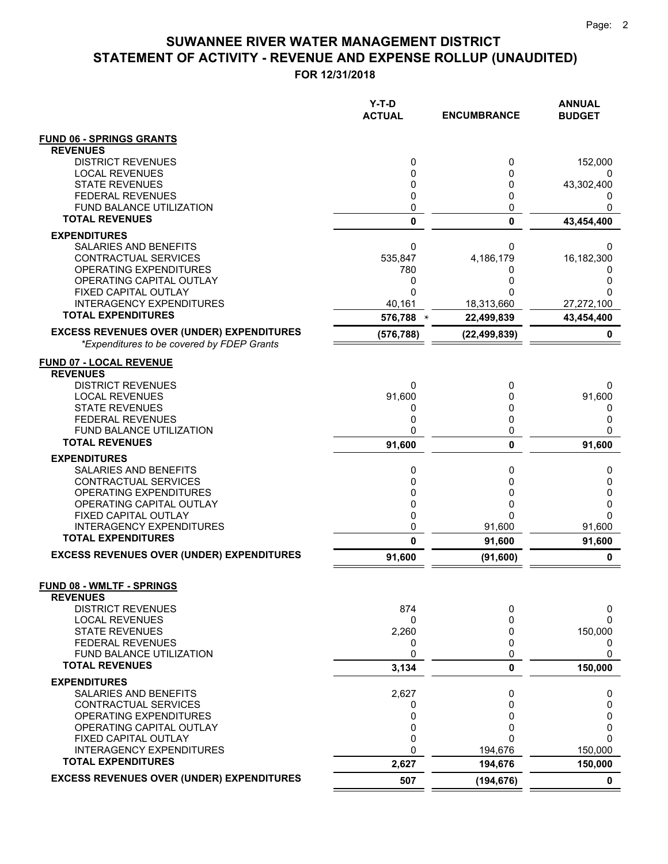|                                                                                                | Y-T-D<br><b>ACTUAL</b> | <b>ENCUMBRANCE</b> | <b>ANNUAL</b><br><b>BUDGET</b> |
|------------------------------------------------------------------------------------------------|------------------------|--------------------|--------------------------------|
| <b>FUND 06 - SPRINGS GRANTS</b><br><b>REVENUES</b>                                             |                        |                    |                                |
| <b>DISTRICT REVENUES</b>                                                                       | 0                      | 0                  | 152,000                        |
| <b>LOCAL REVENUES</b>                                                                          | 0                      | 0                  | 0                              |
| <b>STATE REVENUES</b>                                                                          | 0                      | 0                  | 43,302,400                     |
| <b>FEDERAL REVENUES</b>                                                                        | 0                      | 0                  | 0                              |
| FUND BALANCE UTILIZATION<br><b>TOTAL REVENUES</b>                                              | 0<br>$\mathbf 0$       | 0                  | 0                              |
|                                                                                                |                        | $\mathbf 0$        | 43,454,400                     |
| <b>EXPENDITURES</b><br>SALARIES AND BENEFITS                                                   | 0                      | 0                  | 0                              |
| CONTRACTUAL SERVICES                                                                           | 535,847                | 4,186,179          | 16,182,300                     |
| OPERATING EXPENDITURES                                                                         | 780                    | 0                  | 0                              |
| OPERATING CAPITAL OUTLAY                                                                       | 0                      | 0                  | 0                              |
| FIXED CAPITAL OUTLAY                                                                           | 0                      |                    | 0                              |
| <b>INTERAGENCY EXPENDITURES</b>                                                                | 40,161                 | 18,313,660         | 27,272,100                     |
| <b>TOTAL EXPENDITURES</b>                                                                      | 576,788 $*$            | 22,499,839         | 43,454,400                     |
| <b>EXCESS REVENUES OVER (UNDER) EXPENDITURES</b><br>*Expenditures to be covered by FDEP Grants | (576, 788)             | (22, 499, 839)     | 0                              |
| <b>FUND 07 - LOCAL REVENUE</b>                                                                 |                        |                    |                                |
| <b>REVENUES</b>                                                                                |                        |                    |                                |
| <b>DISTRICT REVENUES</b>                                                                       | 0                      | 0                  | 0                              |
| <b>LOCAL REVENUES</b>                                                                          | 91,600                 | 0                  | 91,600                         |
| <b>STATE REVENUES</b><br><b>FEDERAL REVENUES</b>                                               | 0<br>0                 | 0<br>0             | 0<br>0                         |
| <b>FUND BALANCE UTILIZATION</b>                                                                | 0                      | 0                  | 0                              |
| <b>TOTAL REVENUES</b>                                                                          | 91,600                 | 0                  | 91,600                         |
| <b>EXPENDITURES</b>                                                                            |                        |                    |                                |
| SALARIES AND BENEFITS                                                                          | 0                      | 0                  | 0                              |
| CONTRACTUAL SERVICES                                                                           | 0                      | $\mathbf{0}$       | 0                              |
| OPERATING EXPENDITURES                                                                         | 0                      | 0                  | 0                              |
| OPERATING CAPITAL OUTLAY<br>FIXED CAPITAL OUTLAY                                               | 0<br>0                 | 0<br>0             | 0<br>$\Omega$                  |
| <b>INTERAGENCY EXPENDITURES</b>                                                                | 0                      | 91,600             | 91,600                         |
| <b>TOTAL EXPENDITURES</b>                                                                      | 0                      | 91,600             | 91,600                         |
| <b>EXCESS REVENUES OVER (UNDER) EXPENDITURES</b>                                               | 91,600                 | (91,600)           | 0                              |
| <b>FUND 08 - WMLTF - SPRINGS</b>                                                               |                        |                    |                                |
| <b>REVENUES</b>                                                                                |                        |                    |                                |
| <b>DISTRICT REVENUES</b><br><b>LOCAL REVENUES</b>                                              | 874<br>0               | 0<br>0             | 0<br>0                         |
| <b>STATE REVENUES</b>                                                                          | 2,260                  | 0                  | 150,000                        |
| <b>FEDERAL REVENUES</b>                                                                        | 0                      | 0                  | 0                              |
| FUND BALANCE UTILIZATION                                                                       | 0                      | 0                  | 0                              |
| <b>TOTAL REVENUES</b>                                                                          | 3,134                  | 0                  | 150,000                        |
| <b>EXPENDITURES</b>                                                                            |                        |                    |                                |
| SALARIES AND BENEFITS<br>CONTRACTUAL SERVICES                                                  | 2,627<br>0             | 0<br>0             | 0<br>0                         |
| OPERATING EXPENDITURES                                                                         | 0                      | 0                  | 0                              |
| OPERATING CAPITAL OUTLAY                                                                       | 0                      | 0                  | 0                              |
| FIXED CAPITAL OUTLAY                                                                           | 0                      | 0                  | 0                              |
| <b>INTERAGENCY EXPENDITURES</b>                                                                | 0                      | 194,676            | 150,000                        |
| <b>TOTAL EXPENDITURES</b>                                                                      | 2,627                  | 194,676            | 150,000                        |
| <b>EXCESS REVENUES OVER (UNDER) EXPENDITURES</b>                                               | 507                    | (194, 676)         | $\mathbf 0$                    |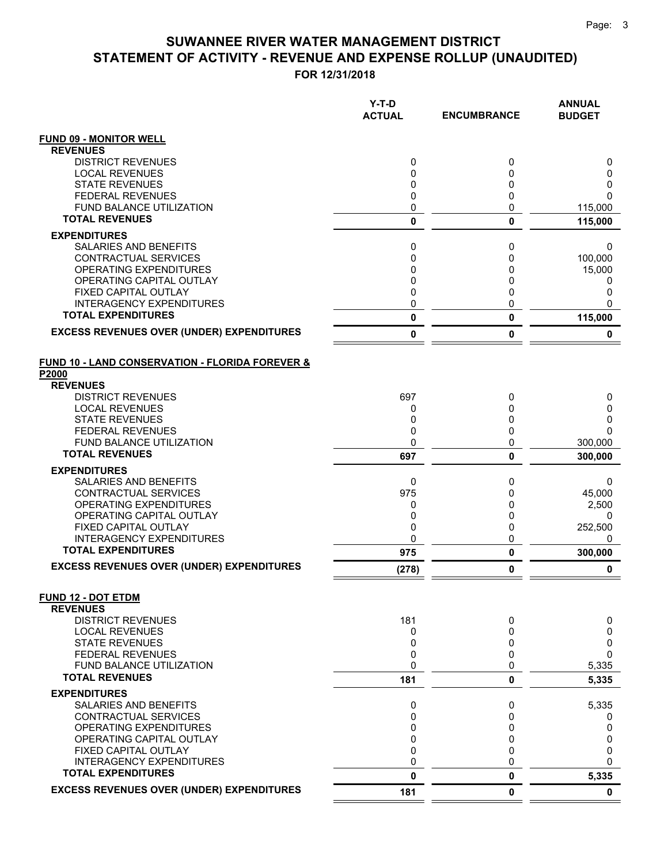|                                                                     | Y-T-D<br><b>ACTUAL</b> | <b>ENCUMBRANCE</b> | <b>ANNUAL</b><br><b>BUDGET</b> |
|---------------------------------------------------------------------|------------------------|--------------------|--------------------------------|
| <b>FUND 09 - MONITOR WELL</b>                                       |                        |                    |                                |
| <b>REVENUES</b>                                                     |                        |                    |                                |
| <b>DISTRICT REVENUES</b>                                            | 0                      | 0                  | 0                              |
| <b>LOCAL REVENUES</b>                                               | 0                      | 0                  | 0                              |
| <b>STATE REVENUES</b>                                               | 0                      | 0                  | 0                              |
| <b>FEDERAL REVENUES</b><br><b>FUND BALANCE UTILIZATION</b>          | 0<br>0                 | 0<br>0             | $\Omega$                       |
| <b>TOTAL REVENUES</b>                                               | $\mathbf 0$            |                    | 115,000                        |
|                                                                     |                        | 0                  | 115,000                        |
| <b>EXPENDITURES</b>                                                 |                        | 0                  |                                |
| SALARIES AND BENEFITS<br><b>CONTRACTUAL SERVICES</b>                | 0<br>0                 | 0                  | 0<br>100,000                   |
| OPERATING EXPENDITURES                                              | 0                      | 0                  | 15,000                         |
| OPERATING CAPITAL OUTLAY                                            | 0                      | 0                  | 0                              |
| FIXED CAPITAL OUTLAY                                                | 0                      | 0                  | 0                              |
| <b>INTERAGENCY EXPENDITURES</b>                                     | 0                      | 0                  | 0                              |
| <b>TOTAL EXPENDITURES</b>                                           | 0                      | 0                  | 115,000                        |
| <b>EXCESS REVENUES OVER (UNDER) EXPENDITURES</b>                    | 0                      | 0                  | 0                              |
| <b>FUND 10 - LAND CONSERVATION - FLORIDA FOREVER &amp;</b><br>P2000 |                        |                    |                                |
| <b>REVENUES</b>                                                     |                        |                    |                                |
| <b>DISTRICT REVENUES</b>                                            | 697                    | 0                  | 0                              |
| <b>LOCAL REVENUES</b>                                               | 0                      | 0                  | 0                              |
| <b>STATE REVENUES</b>                                               | 0<br>0                 | 0<br>0             | 0<br>$\Omega$                  |
| <b>FEDERAL REVENUES</b><br><b>FUND BALANCE UTILIZATION</b>          | 0                      | 0                  | 300,000                        |
| <b>TOTAL REVENUES</b>                                               | 697                    | 0                  | 300,000                        |
|                                                                     |                        |                    |                                |
| <b>EXPENDITURES</b><br>SALARIES AND BENEFITS                        | 0                      | 0                  | 0                              |
| CONTRACTUAL SERVICES                                                | 975                    | 0                  | 45,000                         |
| OPERATING EXPENDITURES                                              | 0                      | 0                  | 2,500                          |
| OPERATING CAPITAL OUTLAY                                            | 0                      | 0                  | 0                              |
| FIXED CAPITAL OUTLAY                                                | 0                      | 0                  | 252,500                        |
| <b>INTERAGENCY EXPENDITURES</b>                                     | 0                      | 0                  | 0                              |
| <b>TOTAL EXPENDITURES</b>                                           | 975                    | 0                  | 300,000                        |
| <b>EXCESS REVENUES OVER (UNDER) EXPENDITURES</b>                    | (278)                  | 0                  | 0                              |
| <b>FUND 12 - DOT ETDM</b><br><b>REVENUES</b>                        |                        |                    |                                |
| <b>DISTRICT REVENUES</b>                                            | 181                    | 0                  | 0                              |
| <b>LOCAL REVENUES</b>                                               | 0                      | 0                  | 0                              |
| <b>STATE REVENUES</b>                                               | 0                      | 0                  | 0                              |
| <b>FEDERAL REVENUES</b>                                             | 0                      | 0                  | 0                              |
| <b>FUND BALANCE UTILIZATION</b>                                     | 0                      | 0                  | 5,335                          |
| <b>TOTAL REVENUES</b>                                               | 181                    | 0                  | 5,335                          |
| <b>EXPENDITURES</b>                                                 |                        |                    |                                |
| SALARIES AND BENEFITS                                               | 0                      | 0                  | 5,335                          |
| <b>CONTRACTUAL SERVICES</b>                                         | 0                      | 0                  | 0                              |
| OPERATING EXPENDITURES                                              | 0                      | 0                  | 0                              |
| OPERATING CAPITAL OUTLAY<br>FIXED CAPITAL OUTLAY                    | 0<br>0                 | 0<br>0             | 0<br>0                         |
| <b>INTERAGENCY EXPENDITURES</b>                                     | 0                      | 0                  | $\Omega$                       |
| <b>TOTAL EXPENDITURES</b>                                           | $\mathbf{0}$           | 0                  | 5,335                          |
| <b>EXCESS REVENUES OVER (UNDER) EXPENDITURES</b>                    | 181                    | 0                  | $\mathbf 0$                    |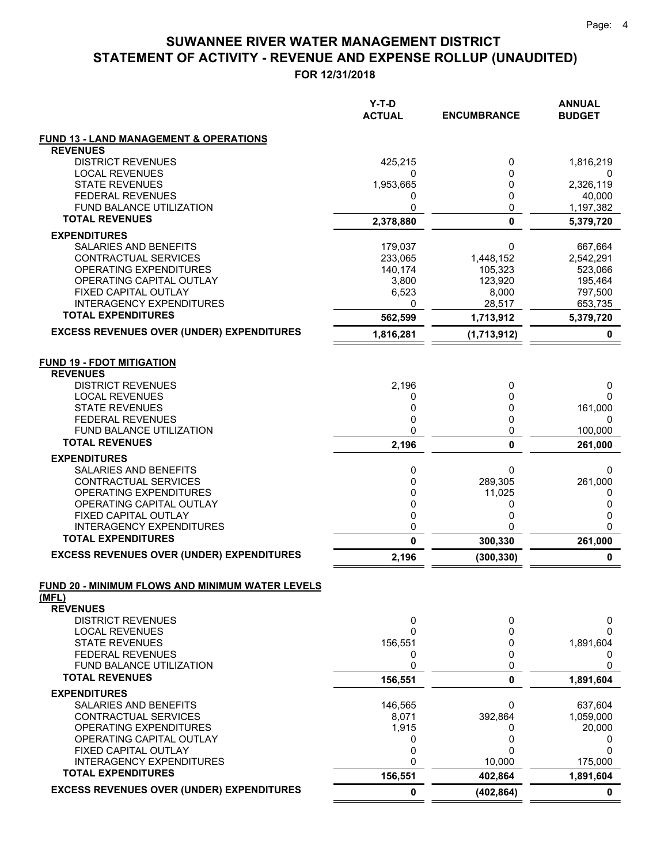|                                                              | Y-T-D<br><b>ACTUAL</b> | <b>ENCUMBRANCE</b> | <b>ANNUAL</b><br><b>BUDGET</b> |
|--------------------------------------------------------------|------------------------|--------------------|--------------------------------|
| <b>FUND 13 - LAND MANAGEMENT &amp; OPERATIONS</b>            |                        |                    |                                |
| <b>REVENUES</b>                                              |                        |                    |                                |
| <b>DISTRICT REVENUES</b>                                     | 425,215                | 0                  | 1,816,219                      |
| <b>LOCAL REVENUES</b><br><b>STATE REVENUES</b>               | 0                      | 0                  | 0                              |
| <b>FEDERAL REVENUES</b>                                      | 1,953,665<br>0         | 0<br>0             | 2,326,119<br>40,000            |
| <b>FUND BALANCE UTILIZATION</b>                              | 0                      | 0                  | 1,197,382                      |
| <b>TOTAL REVENUES</b>                                        | 2,378,880              | $\bf{0}$           | 5,379,720                      |
| <b>EXPENDITURES</b>                                          |                        |                    |                                |
| SALARIES AND BENEFITS                                        | 179,037                | 0                  | 667,664                        |
| CONTRACTUAL SERVICES                                         | 233,065                | 1,448,152          | 2,542,291                      |
| <b>OPERATING EXPENDITURES</b>                                | 140,174                | 105,323            | 523,066                        |
| OPERATING CAPITAL OUTLAY                                     | 3,800                  | 123,920            | 195,464                        |
| FIXED CAPITAL OUTLAY                                         | 6,523                  | 8,000              | 797,500                        |
| <b>INTERAGENCY EXPENDITURES</b><br><b>TOTAL EXPENDITURES</b> | 0                      | 28,517             | 653,735                        |
| <b>EXCESS REVENUES OVER (UNDER) EXPENDITURES</b>             | 562,599                | 1,713,912          | 5,379,720                      |
|                                                              | 1,816,281              | (1,713,912)        | 0                              |
| <b>FUND 19 - FDOT MITIGATION</b><br><b>REVENUES</b>          |                        |                    |                                |
| <b>DISTRICT REVENUES</b>                                     | 2,196                  | 0                  | 0                              |
| <b>LOCAL REVENUES</b>                                        | 0                      | 0                  | 0                              |
| <b>STATE REVENUES</b>                                        | 0                      | 0                  | 161,000                        |
| <b>FEDERAL REVENUES</b>                                      | 0                      | 0                  | 0                              |
| FUND BALANCE UTILIZATION<br><b>TOTAL REVENUES</b>            | 0                      | 0                  | 100,000                        |
|                                                              | 2,196                  | 0                  | 261,000                        |
| <b>EXPENDITURES</b>                                          |                        |                    |                                |
| SALARIES AND BENEFITS<br>CONTRACTUAL SERVICES                | 0<br>0                 | 0<br>289,305       | 0<br>261,000                   |
| OPERATING EXPENDITURES                                       | 0                      | 11,025             | 0                              |
| OPERATING CAPITAL OUTLAY                                     | 0                      | 0                  | 0                              |
| FIXED CAPITAL OUTLAY                                         | 0                      | 0                  | 0                              |
| <b>INTERAGENCY EXPENDITURES</b>                              | 0                      | 0                  | 0                              |
| <b>TOTAL EXPENDITURES</b>                                    | 0                      | 300,330            | 261,000                        |
| <b>EXCESS REVENUES OVER (UNDER) EXPENDITURES</b>             | 2,196                  | (300, 330)         | 0                              |
| FUND 20 - MINIMUM FLOWS AND MINIMUM WATER LEVELS             |                        |                    |                                |
| (MFL)<br><b>REVENUES</b>                                     |                        |                    |                                |
| <b>DISTRICT REVENUES</b>                                     | 0                      | 0                  | 0                              |
| <b>LOCAL REVENUES</b>                                        | 0                      | 0                  | 0                              |
| <b>STATE REVENUES</b>                                        | 156,551                | 0                  | 1,891,604                      |
| <b>FEDERAL REVENUES</b>                                      | 0                      | 0                  | 0                              |
| FUND BALANCE UTILIZATION                                     | 0                      | 0                  | 0                              |
| <b>TOTAL REVENUES</b>                                        | 156,551                | $\mathbf 0$        | 1,891,604                      |
| <b>EXPENDITURES</b>                                          |                        |                    |                                |
| SALARIES AND BENEFITS                                        | 146,565                | 0                  | 637,604                        |
| CONTRACTUAL SERVICES                                         | 8,071                  | 392,864            | 1,059,000                      |
| OPERATING EXPENDITURES<br>OPERATING CAPITAL OUTLAY           | 1,915<br>0             | 0<br>0             | 20,000<br>0                    |
| FIXED CAPITAL OUTLAY                                         | 0                      | 0                  | 0                              |
| <b>INTERAGENCY EXPENDITURES</b>                              | 0                      | 10,000             | 175,000                        |
| <b>TOTAL EXPENDITURES</b>                                    | 156,551                | 402,864            | 1,891,604                      |
| <b>EXCESS REVENUES OVER (UNDER) EXPENDITURES</b>             | 0                      | (402, 864)         | 0                              |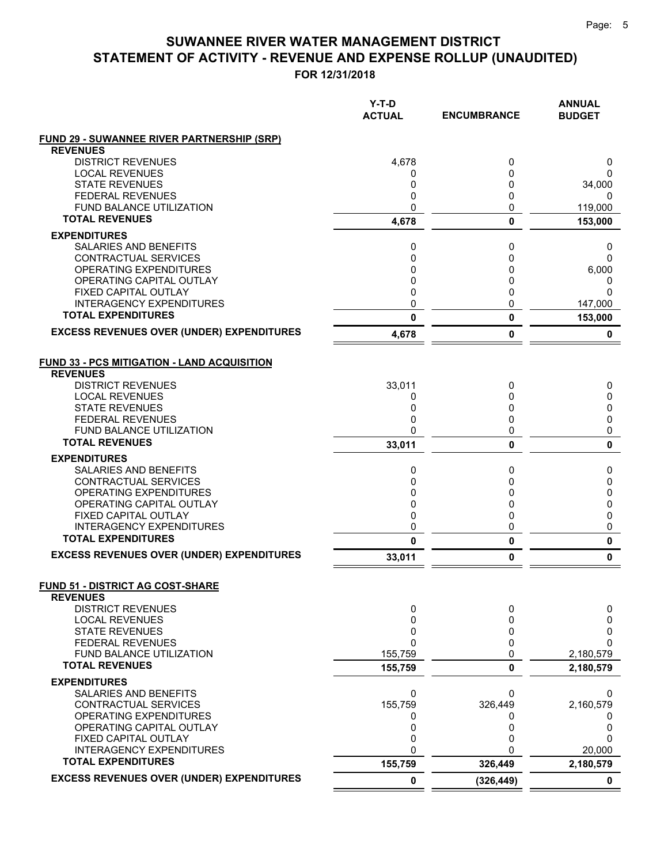|                                                              | Y-T-D<br><b>ACTUAL</b> | <b>ENCUMBRANCE</b> | <b>ANNUAL</b><br><b>BUDGET</b> |
|--------------------------------------------------------------|------------------------|--------------------|--------------------------------|
| <b>FUND 29 - SUWANNEE RIVER PARTNERSHIP (SRP)</b>            |                        |                    |                                |
| <b>REVENUES</b><br><b>DISTRICT REVENUES</b>                  |                        |                    |                                |
| <b>LOCAL REVENUES</b>                                        | 4,678                  | 0<br>0             | 0<br>0                         |
| <b>STATE REVENUES</b>                                        | 0<br>0                 | 0                  | 34,000                         |
| <b>FEDERAL REVENUES</b>                                      | 0                      | 0                  | 0                              |
| FUND BALANCE UTILIZATION                                     | 0                      | 0                  | 119,000                        |
| <b>TOTAL REVENUES</b>                                        | 4,678                  | $\mathbf 0$        | 153,000                        |
| <b>EXPENDITURES</b>                                          |                        |                    |                                |
| <b>SALARIES AND BENEFITS</b>                                 | 0                      | 0                  | 0                              |
| CONTRACTUAL SERVICES                                         | 0                      | 0                  | 0                              |
| <b>OPERATING EXPENDITURES</b>                                | 0                      | 0                  | 6,000                          |
| OPERATING CAPITAL OUTLAY                                     | 0                      | 0                  | 0                              |
| FIXED CAPITAL OUTLAY                                         | 0                      | 0                  | $\Omega$                       |
| <b>INTERAGENCY EXPENDITURES</b>                              | 0                      | 0                  | 147,000                        |
| <b>TOTAL EXPENDITURES</b>                                    | 0                      | 0                  | 153,000                        |
| <b>EXCESS REVENUES OVER (UNDER) EXPENDITURES</b>             | 4,678                  | 0                  | 0                              |
| <b>FUND 33 - PCS MITIGATION - LAND ACQUISITION</b>           |                        |                    |                                |
| <b>REVENUES</b>                                              |                        |                    |                                |
| <b>DISTRICT REVENUES</b>                                     | 33,011                 | 0                  | 0                              |
| <b>LOCAL REVENUES</b>                                        | 0                      | 0                  | 0                              |
| <b>STATE REVENUES</b>                                        | 0                      | 0                  | 0                              |
| <b>FEDERAL REVENUES</b>                                      | 0                      | 0                  | 0                              |
| <b>FUND BALANCE UTILIZATION</b>                              | 0                      | 0                  | 0                              |
| <b>TOTAL REVENUES</b>                                        | 33,011                 | 0                  | 0                              |
| <b>EXPENDITURES</b>                                          |                        |                    |                                |
| <b>SALARIES AND BENEFITS</b>                                 | 0                      | 0                  | 0                              |
| CONTRACTUAL SERVICES                                         | $\mathbf{0}$           | 0                  | 0                              |
| OPERATING EXPENDITURES                                       | 0                      | 0                  | 0                              |
| OPERATING CAPITAL OUTLAY                                     | 0                      | 0                  | 0                              |
| FIXED CAPITAL OUTLAY                                         | 0                      | 0                  | 0                              |
| <b>INTERAGENCY EXPENDITURES</b><br><b>TOTAL EXPENDITURES</b> | 0<br>$\mathbf{0}$      | 0                  | 0<br>0                         |
| <b>EXCESS REVENUES OVER (UNDER) EXPENDITURES</b>             | 33,011                 | 0<br>0             | 0                              |
|                                                              |                        |                    |                                |
| <b>FUND 51 - DISTRICT AG COST-SHARE</b><br><b>REVENUES</b>   |                        |                    |                                |
| <b>DISTRICT REVENUES</b>                                     | 0                      | 0                  | 0                              |
| <b>LOCAL REVENUES</b>                                        | 0                      | 0                  | 0                              |
| <b>STATE REVENUES</b>                                        | 0                      | 0                  | 0                              |
| <b>FEDERAL REVENUES</b>                                      | 0                      | 0                  | 0                              |
| FUND BALANCE UTILIZATION                                     | 155,759                | 0                  | 2,180,579                      |
| <b>TOTAL REVENUES</b>                                        | 155,759                | 0                  | 2,180,579                      |
| <b>EXPENDITURES</b>                                          |                        |                    |                                |
| SALARIES AND BENEFITS                                        | 0                      | 0                  | 0                              |
| CONTRACTUAL SERVICES                                         | 155,759                | 326,449            | 2,160,579                      |
| OPERATING EXPENDITURES                                       | 0                      | 0                  | 0                              |
| OPERATING CAPITAL OUTLAY                                     | 0                      | 0                  | 0                              |
| FIXED CAPITAL OUTLAY                                         | 0                      | 0                  | $\Omega$                       |
| <b>INTERAGENCY EXPENDITURES</b><br><b>TOTAL EXPENDITURES</b> | $\mathbf{0}$           | U                  | 20,000                         |
|                                                              | 155,759                | 326,449            | 2,180,579                      |
| <b>EXCESS REVENUES OVER (UNDER) EXPENDITURES</b>             | $\mathbf 0$            | (326, 449)         | $\mathbf 0$                    |